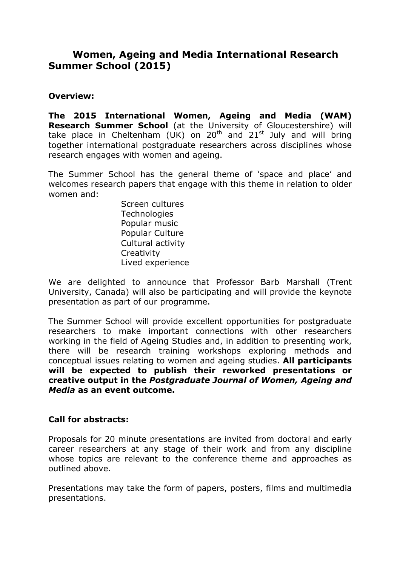## **Women, Ageing and Media International Research Summer School (2015)**

## **Overview:**

**The 2015 International Women, Ageing and Media (WAM) Research Summer School** (at the University of Gloucestershire) will take place in Cheltenham (UK) on  $20^{th}$  and  $21^{st}$  July and will bring together international postgraduate researchers across disciplines whose research engages with women and ageing.

The Summer School has the general theme of 'space and place' and welcomes research papers that engage with this theme in relation to older women and:

> Screen cultures **Technologies** Popular music Popular Culture Cultural activity **Creativity** Lived experience

We are delighted to announce that Professor Barb Marshall (Trent University, Canada) will also be participating and will provide the keynote presentation as part of our programme.

The Summer School will provide excellent opportunities for postgraduate researchers to make important connections with other researchers working in the field of Ageing Studies and, in addition to presenting work, there will be research training workshops exploring methods and conceptual issues relating to women and ageing studies. **All participants will be expected to publish their reworked presentations or creative output in the** *Postgraduate Journal of Women, Ageing and Media* **as an event outcome.**

## **Call for abstracts:**

Proposals for 20 minute presentations are invited from doctoral and early career researchers at any stage of their work and from any discipline whose topics are relevant to the conference theme and approaches as outlined above.

Presentations may take the form of papers, posters, films and multimedia presentations.